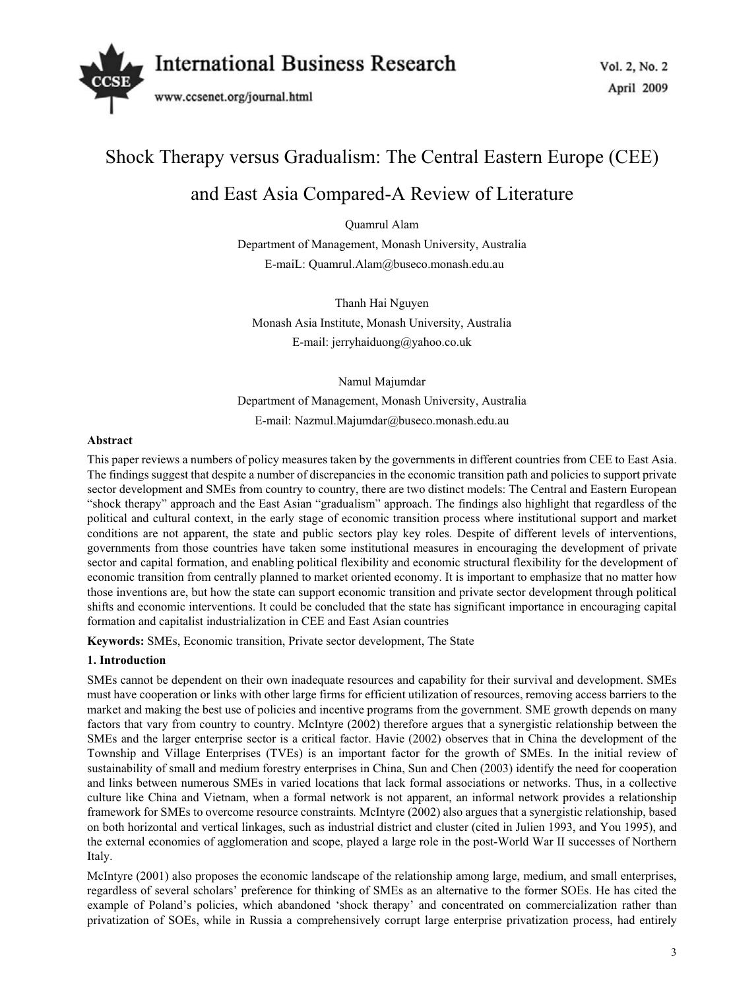

# Shock Therapy versus Gradualism: The Central Eastern Europe (CEE) and East Asia Compared-A Review of Literature

Quamrul Alam

Department of Management, Monash University, Australia E-maiL: Quamrul.Alam@buseco.monash.edu.au

## Thanh Hai Nguyen

Monash Asia Institute, Monash University, Australia E-mail: jerryhaiduong@yahoo.co.uk

Namul Majumdar Department of Management, Monash University, Australia E-mail: Nazmul.Majumdar@buseco.monash.edu.au

## **Abstract**

This paper reviews a numbers of policy measures taken by the governments in different countries from CEE to East Asia. The findings suggest that despite a number of discrepancies in the economic transition path and policies to support private sector development and SMEs from country to country, there are two distinct models: The Central and Eastern European "shock therapy" approach and the East Asian "gradualism" approach. The findings also highlight that regardless of the political and cultural context, in the early stage of economic transition process where institutional support and market conditions are not apparent, the state and public sectors play key roles. Despite of different levels of interventions, governments from those countries have taken some institutional measures in encouraging the development of private sector and capital formation, and enabling political flexibility and economic structural flexibility for the development of economic transition from centrally planned to market oriented economy. It is important to emphasize that no matter how those inventions are, but how the state can support economic transition and private sector development through political shifts and economic interventions. It could be concluded that the state has significant importance in encouraging capital formation and capitalist industrialization in CEE and East Asian countries

**Keywords:** SMEs, Economic transition, Private sector development, The State

# **1. Introduction**

SMEs cannot be dependent on their own inadequate resources and capability for their survival and development. SMEs must have cooperation or links with other large firms for efficient utilization of resources, removing access barriers to the market and making the best use of policies and incentive programs from the government. SME growth depends on many factors that vary from country to country. McIntyre (2002) therefore argues that a synergistic relationship between the SMEs and the larger enterprise sector is a critical factor. Havie (2002) observes that in China the development of the Township and Village Enterprises (TVEs) is an important factor for the growth of SMEs. In the initial review of sustainability of small and medium forestry enterprises in China, Sun and Chen (2003) identify the need for cooperation and links between numerous SMEs in varied locations that lack formal associations or networks. Thus, in a collective culture like China and Vietnam, when a formal network is not apparent, an informal network provides a relationship framework for SMEs to overcome resource constraints*.* McIntyre (2002) also argues that a synergistic relationship, based on both horizontal and vertical linkages, such as industrial district and cluster (cited in Julien 1993, and You 1995), and the external economies of agglomeration and scope, played a large role in the post-World War II successes of Northern Italy.

McIntyre (2001) also proposes the economic landscape of the relationship among large, medium, and small enterprises, regardless of several scholars' preference for thinking of SMEs as an alternative to the former SOEs. He has cited the example of Poland's policies, which abandoned 'shock therapy' and concentrated on commercialization rather than privatization of SOEs, while in Russia a comprehensively corrupt large enterprise privatization process, had entirely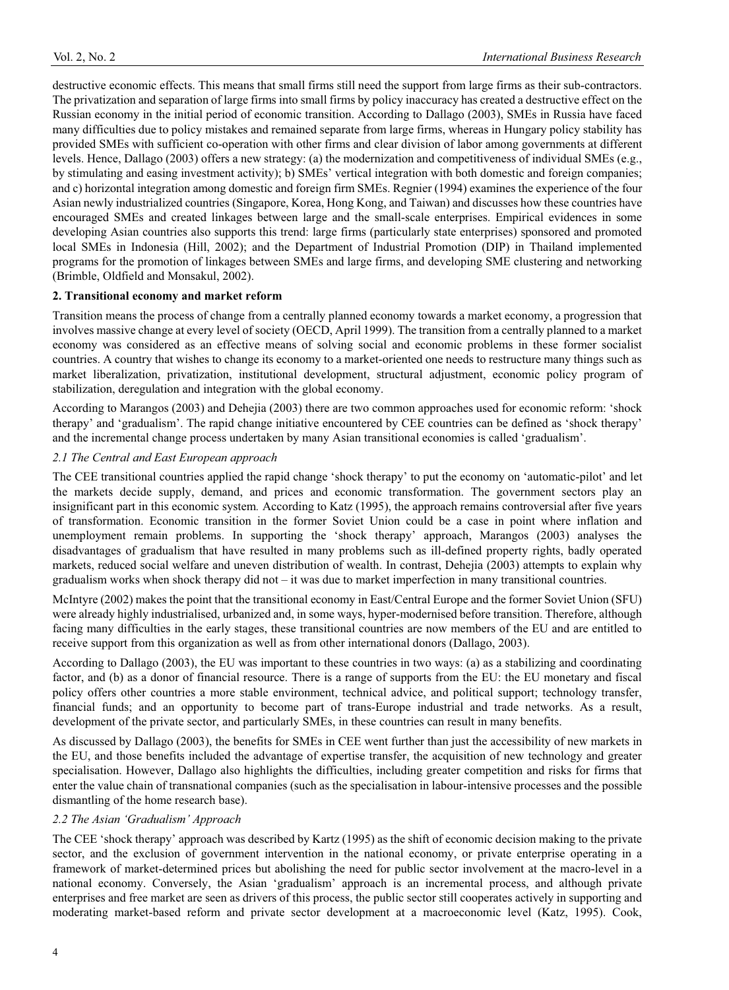destructive economic effects. This means that small firms still need the support from large firms as their sub-contractors. The privatization and separation of large firms into small firms by policy inaccuracy has created a destructive effect on the Russian economy in the initial period of economic transition. According to Dallago (2003), SMEs in Russia have faced many difficulties due to policy mistakes and remained separate from large firms, whereas in Hungary policy stability has provided SMEs with sufficient co-operation with other firms and clear division of labor among governments at different levels. Hence, Dallago (2003) offers a new strategy: (a) the modernization and competitiveness of individual SMEs (e.g., by stimulating and easing investment activity); b) SMEs' vertical integration with both domestic and foreign companies; and c) horizontal integration among domestic and foreign firm SMEs. Regnier (1994) examines the experience of the four Asian newly industrialized countries (Singapore, Korea, Hong Kong, and Taiwan) and discusses how these countries have encouraged SMEs and created linkages between large and the small-scale enterprises. Empirical evidences in some developing Asian countries also supports this trend: large firms (particularly state enterprises) sponsored and promoted local SMEs in Indonesia (Hill, 2002); and the Department of Industrial Promotion (DIP) in Thailand implemented programs for the promotion of linkages between SMEs and large firms, and developing SME clustering and networking (Brimble, Oldfield and Monsakul, 2002).

## **2. Transitional economy and market reform**

Transition means the process of change from a centrally planned economy towards a market economy, a progression that involves massive change at every level of society (OECD, April 1999). The transition from a centrally planned to a market economy was considered as an effective means of solving social and economic problems in these former socialist countries. A country that wishes to change its economy to a market-oriented one needs to restructure many things such as market liberalization, privatization, institutional development, structural adjustment, economic policy program of stabilization, deregulation and integration with the global economy.

According to Marangos (2003) and Dehejia (2003) there are two common approaches used for economic reform: 'shock therapy' and 'gradualism'. The rapid change initiative encountered by CEE countries can be defined as 'shock therapy' and the incremental change process undertaken by many Asian transitional economies is called 'gradualism'.

## *2.1 The Central and East European approach*

The CEE transitional countries applied the rapid change 'shock therapy' to put the economy on 'automatic-pilot' and let the markets decide supply, demand, and prices and economic transformation. The government sectors play an insignificant part in this economic system*.* According to Katz (1995), the approach remains controversial after five years of transformation. Economic transition in the former Soviet Union could be a case in point where inflation and unemployment remain problems. In supporting the 'shock therapy' approach, Marangos (2003) analyses the disadvantages of gradualism that have resulted in many problems such as ill-defined property rights, badly operated markets, reduced social welfare and uneven distribution of wealth. In contrast, Dehejia (2003) attempts to explain why gradualism works when shock therapy did not – it was due to market imperfection in many transitional countries.

McIntyre (2002) makes the point that the transitional economy in East/Central Europe and the former Soviet Union (SFU) were already highly industrialised, urbanized and, in some ways, hyper-modernised before transition. Therefore, although facing many difficulties in the early stages, these transitional countries are now members of the EU and are entitled to receive support from this organization as well as from other international donors (Dallago, 2003).

According to Dallago (2003), the EU was important to these countries in two ways: (a) as a stabilizing and coordinating factor, and (b) as a donor of financial resource. There is a range of supports from the EU: the EU monetary and fiscal policy offers other countries a more stable environment, technical advice, and political support; technology transfer, financial funds; and an opportunity to become part of trans-Europe industrial and trade networks. As a result, development of the private sector, and particularly SMEs, in these countries can result in many benefits.

As discussed by Dallago (2003), the benefits for SMEs in CEE went further than just the accessibility of new markets in the EU, and those benefits included the advantage of expertise transfer, the acquisition of new technology and greater specialisation. However, Dallago also highlights the difficulties, including greater competition and risks for firms that enter the value chain of transnational companies (such as the specialisation in labour-intensive processes and the possible dismantling of the home research base).

#### *2.2 The Asian 'Gradualism' Approach*

The CEE 'shock therapy' approach was described by Kartz (1995) as the shift of economic decision making to the private sector, and the exclusion of government intervention in the national economy, or private enterprise operating in a framework of market-determined prices but abolishing the need for public sector involvement at the macro-level in a national economy. Conversely, the Asian 'gradualism' approach is an incremental process, and although private enterprises and free market are seen as drivers of this process, the public sector still cooperates actively in supporting and moderating market-based reform and private sector development at a macroeconomic level (Katz, 1995). Cook,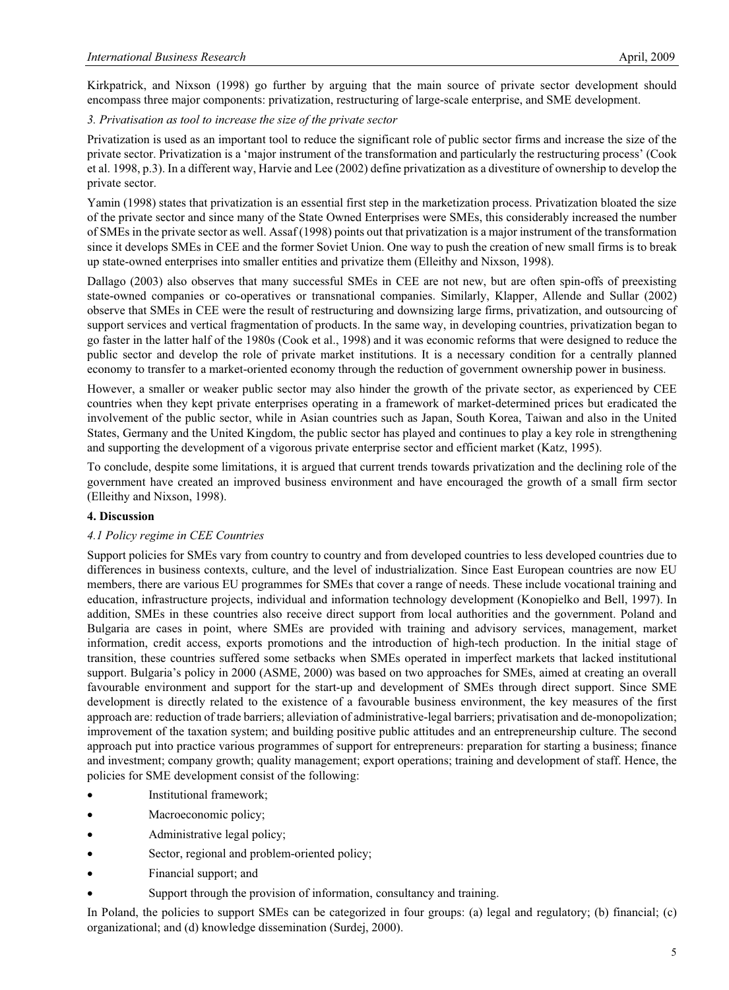Kirkpatrick, and Nixson (1998) go further by arguing that the main source of private sector development should encompass three major components: privatization, restructuring of large-scale enterprise, and SME development.

#### *3. Privatisation as tool to increase the size of the private sector*

Privatization is used as an important tool to reduce the significant role of public sector firms and increase the size of the private sector. Privatization is a 'major instrument of the transformation and particularly the restructuring process' (Cook et al. 1998, p.3). In a different way, Harvie and Lee (2002) define privatization as a divestiture of ownership to develop the private sector.

Yamin (1998) states that privatization is an essential first step in the marketization process. Privatization bloated the size of the private sector and since many of the State Owned Enterprises were SMEs, this considerably increased the number of SMEs in the private sector as well. Assaf (1998) points out that privatization is a major instrument of the transformation since it develops SMEs in CEE and the former Soviet Union. One way to push the creation of new small firms is to break up state-owned enterprises into smaller entities and privatize them (Elleithy and Nixson, 1998).

Dallago (2003) also observes that many successful SMEs in CEE are not new, but are often spin-offs of preexisting state-owned companies or co-operatives or transnational companies. Similarly, Klapper, Allende and Sullar (2002) observe that SMEs in CEE were the result of restructuring and downsizing large firms, privatization, and outsourcing of support services and vertical fragmentation of products. In the same way, in developing countries, privatization began to go faster in the latter half of the 1980s (Cook et al., 1998) and it was economic reforms that were designed to reduce the public sector and develop the role of private market institutions. It is a necessary condition for a centrally planned economy to transfer to a market-oriented economy through the reduction of government ownership power in business.

However, a smaller or weaker public sector may also hinder the growth of the private sector, as experienced by CEE countries when they kept private enterprises operating in a framework of market-determined prices but eradicated the involvement of the public sector, while in Asian countries such as Japan, South Korea, Taiwan and also in the United States, Germany and the United Kingdom, the public sector has played and continues to play a key role in strengthening and supporting the development of a vigorous private enterprise sector and efficient market (Katz, 1995).

To conclude, despite some limitations, it is argued that current trends towards privatization and the declining role of the government have created an improved business environment and have encouraged the growth of a small firm sector (Elleithy and Nixson, 1998).

# **4. Discussion**

# *4.1 Policy regime in CEE Countries*

Support policies for SMEs vary from country to country and from developed countries to less developed countries due to differences in business contexts, culture, and the level of industrialization. Since East European countries are now EU members, there are various EU programmes for SMEs that cover a range of needs. These include vocational training and education, infrastructure projects, individual and information technology development (Konopielko and Bell, 1997). In addition, SMEs in these countries also receive direct support from local authorities and the government. Poland and Bulgaria are cases in point, where SMEs are provided with training and advisory services, management, market information, credit access, exports promotions and the introduction of high-tech production. In the initial stage of transition, these countries suffered some setbacks when SMEs operated in imperfect markets that lacked institutional support. Bulgaria's policy in 2000 (ASME, 2000) was based on two approaches for SMEs, aimed at creating an overall favourable environment and support for the start-up and development of SMEs through direct support. Since SME development is directly related to the existence of a favourable business environment, the key measures of the first approach are: reduction of trade barriers; alleviation of administrative-legal barriers; privatisation and de-monopolization; improvement of the taxation system; and building positive public attitudes and an entrepreneurship culture. The second approach put into practice various programmes of support for entrepreneurs: preparation for starting a business; finance and investment; company growth; quality management; export operations; training and development of staff. Hence, the policies for SME development consist of the following:

- Institutional framework;
- Macroeconomic policy;
- Administrative legal policy;
- Sector, regional and problem-oriented policy;
- Financial support; and
- Support through the provision of information, consultancy and training.

In Poland, the policies to support SMEs can be categorized in four groups: (a) legal and regulatory; (b) financial; (c) organizational; and (d) knowledge dissemination (Surdej, 2000).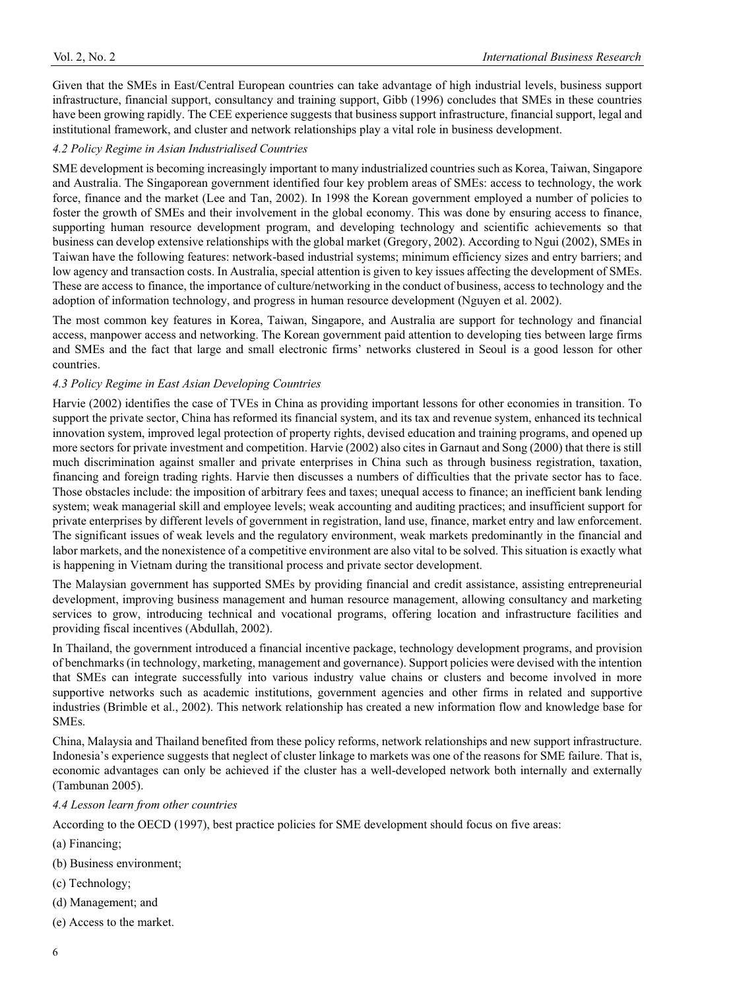Given that the SMEs in East/Central European countries can take advantage of high industrial levels, business support infrastructure, financial support, consultancy and training support, Gibb (1996) concludes that SMEs in these countries have been growing rapidly. The CEE experience suggests that business support infrastructure, financial support, legal and institutional framework, and cluster and network relationships play a vital role in business development.

## *4.2 Policy Regime in Asian Industrialised Countries*

SME development is becoming increasingly important to many industrialized countries such as Korea, Taiwan, Singapore and Australia. The Singaporean government identified four key problem areas of SMEs: access to technology, the work force, finance and the market (Lee and Tan, 2002). In 1998 the Korean government employed a number of policies to foster the growth of SMEs and their involvement in the global economy. This was done by ensuring access to finance, supporting human resource development program, and developing technology and scientific achievements so that business can develop extensive relationships with the global market (Gregory, 2002). According to Ngui (2002), SMEs in Taiwan have the following features: network-based industrial systems; minimum efficiency sizes and entry barriers; and low agency and transaction costs. In Australia, special attention is given to key issues affecting the development of SMEs. These are access to finance, the importance of culture/networking in the conduct of business, access to technology and the adoption of information technology, and progress in human resource development (Nguyen et al. 2002).

The most common key features in Korea, Taiwan, Singapore, and Australia are support for technology and financial access, manpower access and networking. The Korean government paid attention to developing ties between large firms and SMEs and the fact that large and small electronic firms' networks clustered in Seoul is a good lesson for other countries.

# *4.3 Policy Regime in East Asian Developing Countries*

Harvie (2002) identifies the case of TVEs in China as providing important lessons for other economies in transition. To support the private sector, China has reformed its financial system, and its tax and revenue system, enhanced its technical innovation system, improved legal protection of property rights, devised education and training programs, and opened up more sectors for private investment and competition. Harvie (2002) also cites in Garnaut and Song (2000) that there is still much discrimination against smaller and private enterprises in China such as through business registration, taxation, financing and foreign trading rights. Harvie then discusses a numbers of difficulties that the private sector has to face. Those obstacles include: the imposition of arbitrary fees and taxes; unequal access to finance; an inefficient bank lending system; weak managerial skill and employee levels; weak accounting and auditing practices; and insufficient support for private enterprises by different levels of government in registration, land use, finance, market entry and law enforcement. The significant issues of weak levels and the regulatory environment, weak markets predominantly in the financial and labor markets, and the nonexistence of a competitive environment are also vital to be solved. This situation is exactly what is happening in Vietnam during the transitional process and private sector development.

The Malaysian government has supported SMEs by providing financial and credit assistance, assisting entrepreneurial development, improving business management and human resource management, allowing consultancy and marketing services to grow, introducing technical and vocational programs, offering location and infrastructure facilities and providing fiscal incentives (Abdullah, 2002).

In Thailand, the government introduced a financial incentive package, technology development programs, and provision of benchmarks (in technology, marketing, management and governance). Support policies were devised with the intention that SMEs can integrate successfully into various industry value chains or clusters and become involved in more supportive networks such as academic institutions, government agencies and other firms in related and supportive industries (Brimble et al., 2002). This network relationship has created a new information flow and knowledge base for SMEs.

China, Malaysia and Thailand benefited from these policy reforms, network relationships and new support infrastructure. Indonesia's experience suggests that neglect of cluster linkage to markets was one of the reasons for SME failure. That is, economic advantages can only be achieved if the cluster has a well-developed network both internally and externally (Tambunan 2005).

## *4.4 Lesson learn from other countries*

According to the OECD (1997), best practice policies for SME development should focus on five areas:

(a) Financing;

- (b) Business environment;
- (c) Technology;
- (d) Management; and
- (e) Access to the market.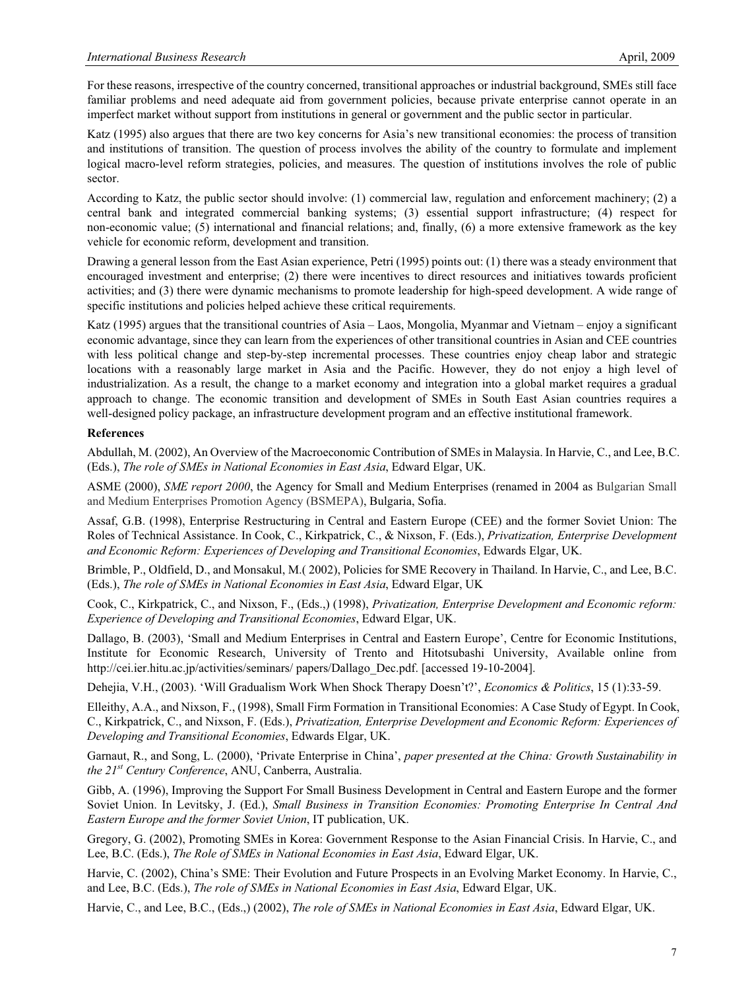For these reasons, irrespective of the country concerned, transitional approaches or industrial background, SMEs still face familiar problems and need adequate aid from government policies, because private enterprise cannot operate in an imperfect market without support from institutions in general or government and the public sector in particular.

Katz (1995) also argues that there are two key concerns for Asia's new transitional economies: the process of transition and institutions of transition. The question of process involves the ability of the country to formulate and implement logical macro-level reform strategies, policies, and measures. The question of institutions involves the role of public sector.

According to Katz, the public sector should involve: (1) commercial law, regulation and enforcement machinery; (2) a central bank and integrated commercial banking systems; (3) essential support infrastructure; (4) respect for non-economic value; (5) international and financial relations; and, finally, (6) a more extensive framework as the key vehicle for economic reform, development and transition.

Drawing a general lesson from the East Asian experience, Petri (1995) points out: (1) there was a steady environment that encouraged investment and enterprise; (2) there were incentives to direct resources and initiatives towards proficient activities; and (3) there were dynamic mechanisms to promote leadership for high-speed development. A wide range of specific institutions and policies helped achieve these critical requirements.

Katz (1995) argues that the transitional countries of Asia – Laos, Mongolia, Myanmar and Vietnam – enjoy a significant economic advantage, since they can learn from the experiences of other transitional countries in Asian and CEE countries with less political change and step-by-step incremental processes. These countries enjoy cheap labor and strategic locations with a reasonably large market in Asia and the Pacific. However, they do not enjoy a high level of industrialization. As a result, the change to a market economy and integration into a global market requires a gradual approach to change. The economic transition and development of SMEs in South East Asian countries requires a well-designed policy package, an infrastructure development program and an effective institutional framework.

# **References**

Abdullah, M. (2002), An Overview of the Macroeconomic Contribution of SMEs in Malaysia. In Harvie, C., and Lee, B.C. (Eds.), *The role of SMEs in National Economies in East Asia*, Edward Elgar, UK.

ASME (2000), *SME report 2000*, the Agency for Small and Medium Enterprises (renamed in 2004 as Bulgarian Small and Medium Enterprises Promotion Agency (BSMEPA), Bulgaria, Sofia.

Assaf, G.B. (1998), Enterprise Restructuring in Central and Eastern Europe (CEE) and the former Soviet Union: The Roles of Technical Assistance. In Cook, C., Kirkpatrick, C., & Nixson, F. (Eds.), *Privatization, Enterprise Development and Economic Reform: Experiences of Developing and Transitional Economies*, Edwards Elgar, UK.

Brimble, P., Oldfield, D., and Monsakul, M.( 2002), Policies for SME Recovery in Thailand. In Harvie, C., and Lee, B.C. (Eds.), *The role of SMEs in National Economies in East Asia*, Edward Elgar, UK

Cook, C., Kirkpatrick, C., and Nixson, F., (Eds.,) (1998), *Privatization, Enterprise Development and Economic reform: Experience of Developing and Transitional Economies*, Edward Elgar, UK.

Dallago, B. (2003), 'Small and Medium Enterprises in Central and Eastern Europe', Centre for Economic Institutions, Institute for Economic Research, University of Trento and Hitotsubashi University, Available online from http://cei.ier.hitu.ac.jp/activities/seminars/ papers/Dallago\_Dec.pdf. [accessed 19-10-2004].

Dehejia, V.H., (2003). 'Will Gradualism Work When Shock Therapy Doesn't?', *Economics & Politics*, 15 (1):33-59.

Elleithy, A.A., and Nixson, F., (1998), Small Firm Formation in Transitional Economies: A Case Study of Egypt. In Cook, C., Kirkpatrick, C., and Nixson, F. (Eds.), *Privatization, Enterprise Development and Economic Reform: Experiences of Developing and Transitional Economies*, Edwards Elgar, UK.

Garnaut, R., and Song, L. (2000), 'Private Enterprise in China', *paper presented at the China: Growth Sustainability in the 21st Century Conference*, ANU, Canberra, Australia.

Gibb, A. (1996), Improving the Support For Small Business Development in Central and Eastern Europe and the former Soviet Union. In Levitsky, J. (Ed.), *Small Business in Transition Economies: Promoting Enterprise In Central And Eastern Europe and the former Soviet Union*, IT publication, UK.

Gregory, G. (2002), Promoting SMEs in Korea: Government Response to the Asian Financial Crisis. In Harvie, C., and Lee, B.C. (Eds.), *The Role of SMEs in National Economies in East Asia*, Edward Elgar, UK.

Harvie, C. (2002), China's SME: Their Evolution and Future Prospects in an Evolving Market Economy. In Harvie, C., and Lee, B.C. (Eds.), *The role of SMEs in National Economies in East Asia*, Edward Elgar, UK.

Harvie, C., and Lee, B.C., (Eds.,) (2002), *The role of SMEs in National Economies in East Asia*, Edward Elgar, UK.